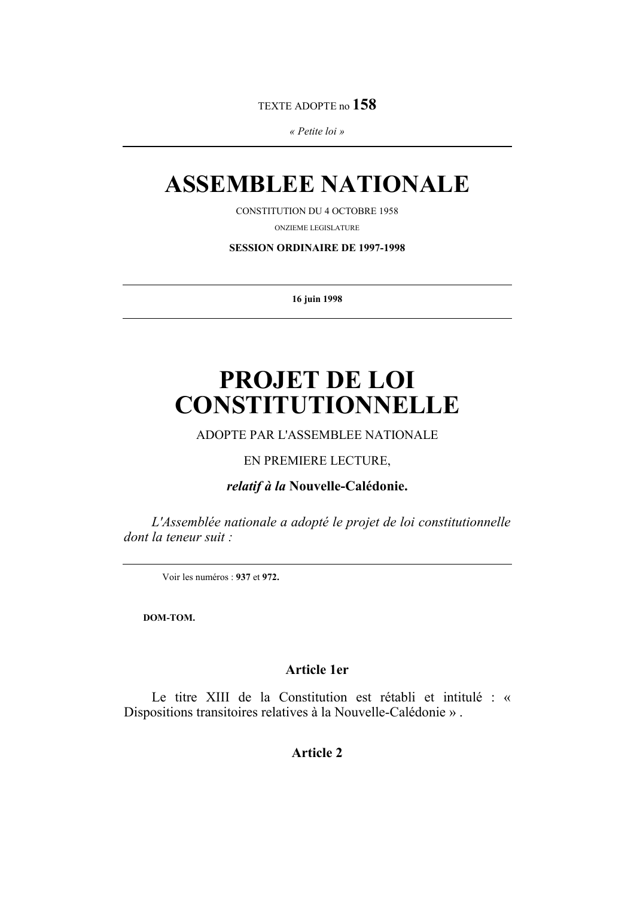TEXTE ADOPTE no 158

« Petite loi »

## **ASSEMBLEE NATIONALE**

**CONSTITUTION DU 4 OCTOBRE 1958** 

ONZIEME LEGISLATURE

**SESSION ORDINAIRE DE 1997-1998** 

16 juin 1998

# PROJET DE LOI **CONSTITUTIONNELLE**

ADOPTE PAR L'ASSEMBLEE NATIONALE

### EN PREMIERE LECTURE.

relatif à la Nouvelle-Calédonie.

L'Assemblée nationale a adopté le projet de loi constitutionnelle dont la teneur suit :

Voir les numéros : 937 et 972.

DOM-TOM.

### **Article 1er**

Le titre XIII de la Constitution est rétabli et intitulé : « Dispositions transitoires relatives à la Nouvelle-Calédonie ».

**Article 2**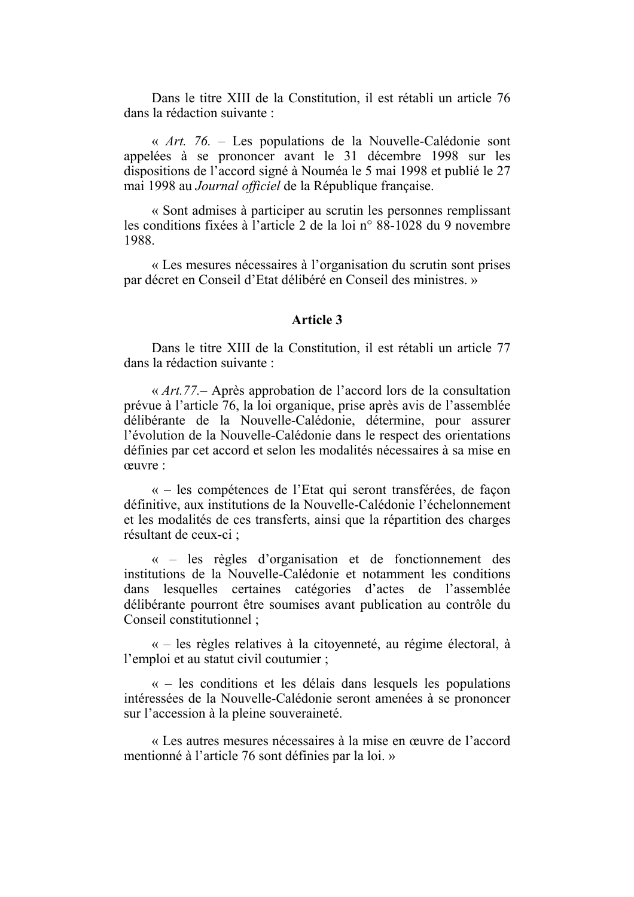Dans le titre XIII de la Constitution, il est rétabli un article 76 dans la rédaction suivante :

« Art. 76. – Les populations de la Nouvelle-Calédonie sont appelées à se prononcer avant le 31 décembre 1998 sur les dispositions de l'accord signé à Nouméa le 5 mai 1998 et publié le 27 mai 1998 au Journal officiel de la République française.

« Sont admises à participer au scrutin les personnes remplissant les conditions fixées à l'article 2 de la loi n° 88-1028 du 9 novembre 1988

« Les mesures nécessaires à l'organisation du scrutin sont prises par décret en Conseil d'Etat délibéré en Conseil des ministres. »

#### Article 3

Dans le titre XIII de la Constitution, il est rétabli un article 77 dans la rédaction suivante :

«  $Art. 77$ . – Après approbation de l'accord lors de la consultation prévue à l'article 76, la loi organique, prise après avis de l'assemblée délibérante de la Nouvelle-Calédonie, détermine, pour assurer l'évolution de la Nouvelle-Calédonie dans le respect des orientations définies par cet accord et selon les modalités nécessaires à sa mise en ceuvre :

« – les compétences de l'Etat qui seront transférées, de façon définitive, aux institutions de la Nouvelle-Calédonie l'échelonnement et les modalités de ces transferts, ainsi que la répartition des charges résultant de ceux-ci :

 $\langle \cdot \rangle$  = les règles d'organisation et de fonctionnement des institutions de la Nouvelle-Calédonie et notamment les conditions dans lesquelles certaines catégories d'actes de l'assemblée délibérante pourront être soumises avant publication au contrôle du Conseil constitutionnel:

« – les règles relatives à la citoyenneté, au régime électoral, à l'emploi et au statut civil coutumier :

 $\alpha$  – les conditions et les délais dans lesquels les populations intéressées de la Nouvelle-Calédonie seront amenées à se prononcer sur l'accession à la pleine souveraineté.

« Les autres mesures nécessaires à la mise en œuvre de l'accord mentionné à l'article 76 sont définies par la loi. »